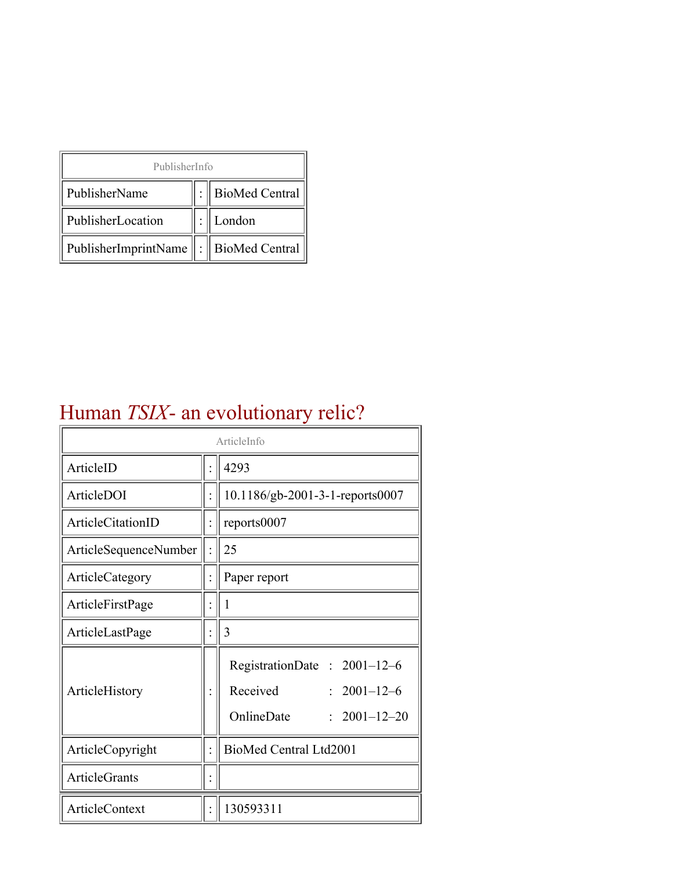| PublisherInfo                         |  |                    |  |  |
|---------------------------------------|--|--------------------|--|--|
| PublisherName                         |  | :   BioMed Central |  |  |
| PublisherLocation                     |  | London             |  |  |
| PublisherImprintName : BioMed Central |  |                    |  |  |

## Human *TSIX*- an evolutionary relic?

| ArticleInfo                  |  |                                                                                                |
|------------------------------|--|------------------------------------------------------------------------------------------------|
| ArticleID                    |  | 4293                                                                                           |
| ArticleDOI                   |  | 10.1186/gb-2001-3-1-reports0007                                                                |
| ArticleCitationID            |  | reports0007                                                                                    |
| <b>ArticleSequenceNumber</b> |  | 25                                                                                             |
| ArticleCategory              |  | Paper report                                                                                   |
| ArticleFirstPage             |  | 1                                                                                              |
| ArticleLastPage              |  | 3                                                                                              |
| ArticleHistory               |  | RegistrationDate: 2001-12-6<br>Received<br>$: 2001 - 12 - 6$<br>OnlineDate<br>$2001 - 12 - 20$ |
| ArticleCopyright             |  | BioMed Central Ltd2001                                                                         |
| <b>ArticleGrants</b>         |  |                                                                                                |
| ArticleContext               |  | 130593311                                                                                      |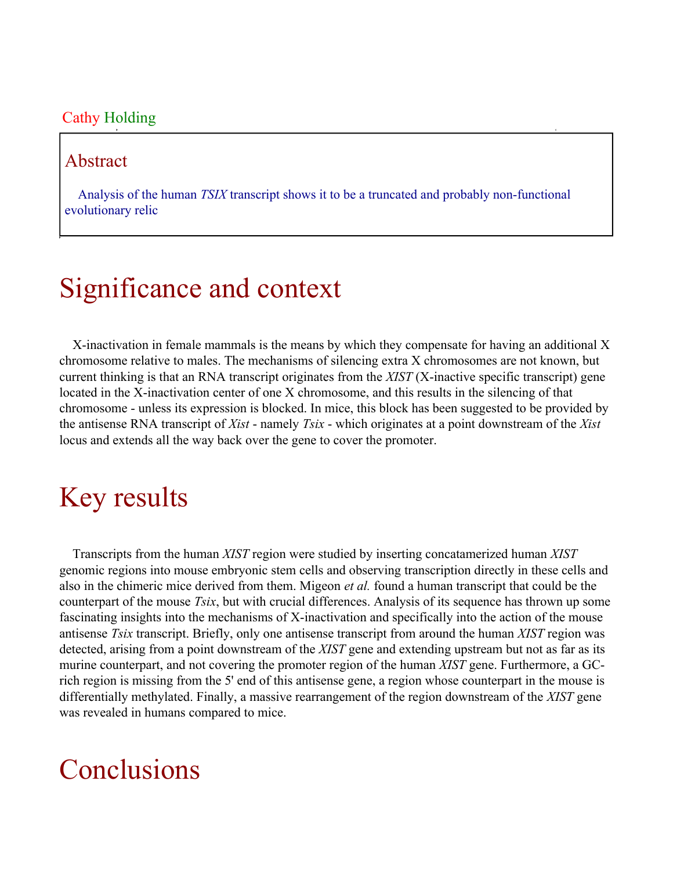#### Cathy Holding

#### Abstract

Analysis of the human *TSIX* transcript shows it to be a truncated and probably non-functional evolutionary relic

# Significance and context

X-inactivation in female mammals is the means by which they compensate for having an additional X chromosome relative to males. The mechanisms of silencing extra X chromosomes are not known, but current thinking is that an RNA transcript originates from the *XIST* (X-inactive specific transcript) gene located in the X-inactivation center of one X chromosome, and this results in the silencing of that chromosome - unless its expression is blocked. In mice, this block has been suggested to be provided by the antisense RNA transcript of *Xist* - namely *Tsix* - which originates at a point downstream of the *Xist* locus and extends all the way back over the gene to cover the promoter.

## Key results

Transcripts from the human *XIST* region were studied by inserting concatamerized human *XIST* genomic regions into mouse embryonic stem cells and observing transcription directly in these cells and also in the chimeric mice derived from them. Migeon *et al.* found a human transcript that could be the counterpart of the mouse *Tsix*, but with crucial differences. Analysis of its sequence has thrown up some fascinating insights into the mechanisms of X-inactivation and specifically into the action of the mouse antisense *Tsix* transcript. Briefly, only one antisense transcript from around the human *XIST* region was detected, arising from a point downstream of the *XIST* gene and extending upstream but not as far as its murine counterpart, and not covering the promoter region of the human *XIST* gene. Furthermore, a GCrich region is missing from the 5' end of this antisense gene, a region whose counterpart in the mouse is differentially methylated. Finally, a massive rearrangement of the region downstream of the *XIST* gene was revealed in humans compared to mice.

### **Conclusions**